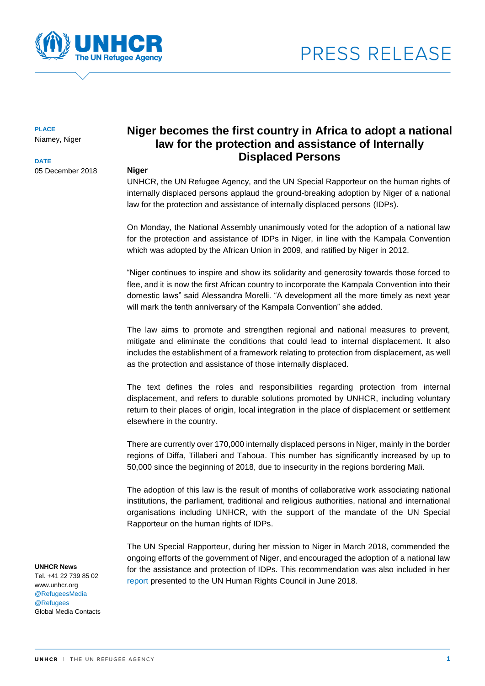



**PLACE** Niamey, Niger

**DATE**

05 December 2018

# **Niger becomes the first country in Africa to adopt a national law for the protection and assistance of Internally Displaced Persons**

#### **Niger**

UNHCR, the UN Refugee Agency, and the UN Special Rapporteur on the human rights of internally displaced persons applaud the ground-breaking adoption by Niger of a national law for the protection and assistance of internally displaced persons (IDPs).

On Monday, the National Assembly unanimously voted for the adoption of a national law for the protection and assistance of IDPs in Niger, in line with the Kampala Convention which was adopted by the African Union in 2009, and ratified by Niger in 2012.

"Niger continues to inspire and show its solidarity and generosity towards those forced to flee, and it is now the first African country to incorporate the Kampala Convention into their domestic laws" said Alessandra Morelli. "A development all the more timely as next year will mark the tenth anniversary of the Kampala Convention" she added.

The law aims to promote and strengthen regional and national measures to prevent, mitigate and eliminate the conditions that could lead to internal displacement. It also includes the establishment of a framework relating to protection from displacement, as well as the protection and assistance of those internally displaced.

The text defines the roles and responsibilities regarding protection from internal displacement, and refers to durable solutions promoted by UNHCR, including voluntary return to their places of origin, local integration in the place of displacement or settlement elsewhere in the country.

There are currently over 170,000 internally displaced persons in Niger, mainly in the border regions of Diffa, Tillaberi and Tahoua. This number has significantly increased by up to 50,000 since the beginning of 2018, due to insecurity in the regions bordering Mali.

The adoption of this law is the result of months of collaborative work associating national institutions, the parliament, traditional and religious authorities, national and international organisations including UNHCR, with the support of the mandate of the UN Special Rapporteur on the human rights of IDPs.

The UN Special Rapporteur, during her mission to Niger in March 2018, commended the ongoing efforts of the government of Niger, and encouraged the adoption of a national law for the assistance and protection of IDPs. This recommendation was also included in her [report](http://ap.ohchr.org/documents/dpage_e.aspx?si=A/HRC/38/39/Add.3) presented to the UN Human Rights Council in June 2018.

#### **UNHCR News**

Tel. +41 22 739 85 02 www.unhcr.org @RefugeesMedia @Refugees Global Media Contacts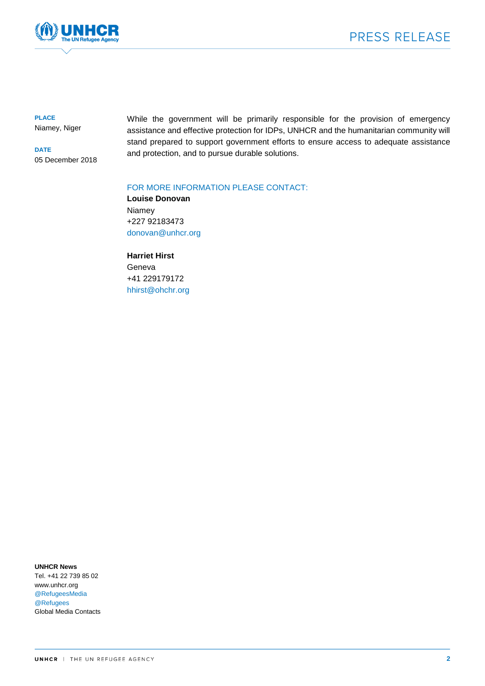

**PLACE** Niamey, Niger

**DATE** 05 December 2018 While the government will be primarily responsible for the provision of emergency assistance and effective protection for IDPs, UNHCR and the humanitarian community will stand prepared to support government efforts to ensure access to adequate assistance and protection, and to pursue durable solutions.

### FOR MORE INFORMATION PLEASE CONTACT:

**Louise Donovan** Niamey +227 92183473 [donovan@unhcr.org](mailto:donovan@unhcr.org)

**Harriet Hirst** Geneva +41 229179172 [hhirst@ohchr.org](mailto:hhirst@ohchr.org)

**UNHCR News** Tel. +41 22 739 85 02

www.unhcr.org @RefugeesMedia @Refugees Global Media Contacts